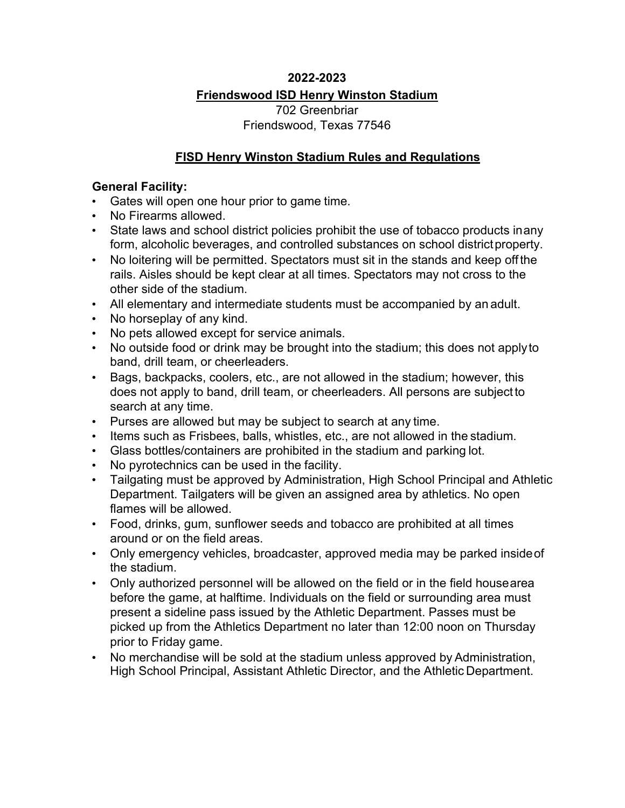### **2022-2023**

### **Friendswood ISD Henry Winston Stadium**

702 Greenbriar Friendswood, Texas 77546

### **FISD Henry Winston Stadium Rules and Regulations**

#### **General Facility:**

- Gates will open one hour prior to game time.
- No Firearms allowed.
- State laws and school district policies prohibit the use of tobacco products inany form, alcoholic beverages, and controlled substances on school district property.
- No loitering will be permitted. Spectators must sit in the stands and keep offthe rails. Aisles should be kept clear at all times. Spectators may not cross to the other side of the stadium.
- All elementary and intermediate students must be accompanied by an adult.
- No horseplay of any kind.
- No pets allowed except for service animals.
- No outside food or drink may be brought into the stadium; this does not applyto band, drill team, or cheerleaders.
- Bags, backpacks, coolers, etc., are not allowed in the stadium; however, this does not apply to band, drill team, or cheerleaders. All persons are subjectto search at any time.
- Purses are allowed but may be subject to search at any time.
- Items such as Frisbees, balls, whistles, etc., are not allowed in the stadium.
- Glass bottles/containers are prohibited in the stadium and parking lot.
- No pyrotechnics can be used in the facility.
- Tailgating must be approved by Administration, High School Principal and Athletic Department. Tailgaters will be given an assigned area by athletics. No open flames will be allowed.
- Food, drinks, gum, sunflower seeds and tobacco are prohibited at all times around or on the field areas.
- Only emergency vehicles, broadcaster, approved media may be parked insideof the stadium.
- Only authorized personnel will be allowed on the field or in the field housearea before the game, at halftime. Individuals on the field or surrounding area must present a sideline pass issued by the Athletic Department. Passes must be picked up from the Athletics Department no later than 12:00 noon on Thursday prior to Friday game.
- No merchandise will be sold at the stadium unless approved by Administration, High School Principal, Assistant Athletic Director, and the Athletic Department.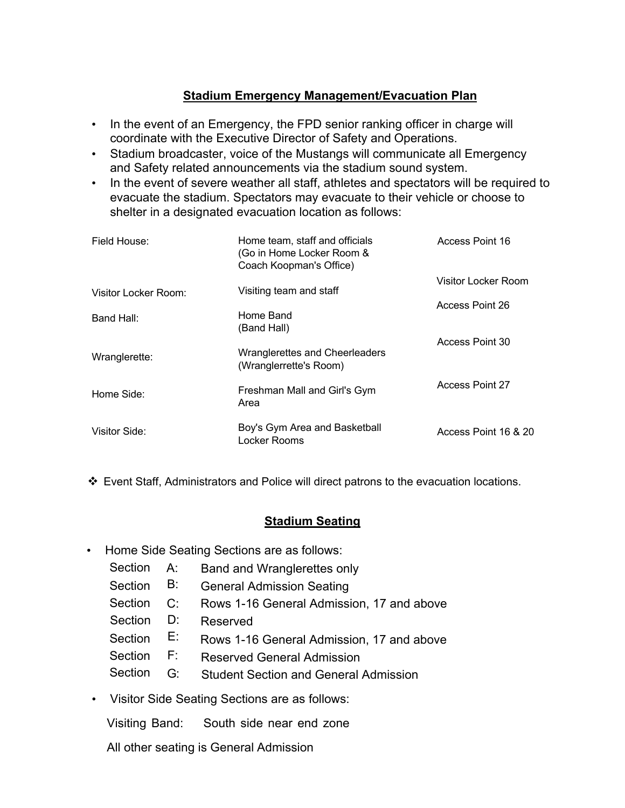## **Stadium Emergency Management/Evacuation Plan**

- In the event of an Emergency, the FPD senior ranking officer in charge will coordinate with the Executive Director of Safety and Operations.
- Stadium broadcaster, voice of the Mustangs will communicate all Emergency and Safety related announcements via the stadium sound system.
- In the event of severe weather all staff, athletes and spectators will be required to evacuate the stadium. Spectators may evacuate to their vehicle or choose to shelter in a designated evacuation location as follows:

| Field House:         | Home team, staff and officials<br>(Go in Home Locker Room &<br>Coach Koopman's Office) | Access Point 16        |
|----------------------|----------------------------------------------------------------------------------------|------------------------|
| Visitor Locker Room: | Visiting team and staff                                                                | Visitor Locker Room    |
| Band Hall:           | Home Band<br>(Band Hall)                                                               | Access Point 26        |
| Wranglerette:        | Wranglerettes and Cheerleaders<br>(Wranglerrette's Room)                               | Access Point 30        |
| Home Side:           | Freshman Mall and Girl's Gym<br>Area                                                   | <b>Access Point 27</b> |
| Visitor Side:        | Boy's Gym Area and Basketball<br>Locker Rooms                                          | Access Point 16 & 20   |

v Event Staff, Administrators and Police will direct patrons to the evacuation locations.

# **Stadium Seating**

- Home Side Seating Sections are as follows:
	- Section A: Band and Wranglerettes only
	- Section B: General Admission Seating
	- Section C: Rows 1-16 General Admission, 17 and above
	- Section D: Reserved
	- Section E: Rows 1-16 General Admission, 17 and above
	- Section F: Reserved General Admission
	- Section G: Student Section and General Admission
- Visitor Side Seating Sections are as follows:

Visiting Band: South side near end zone

All other seating is General Admission